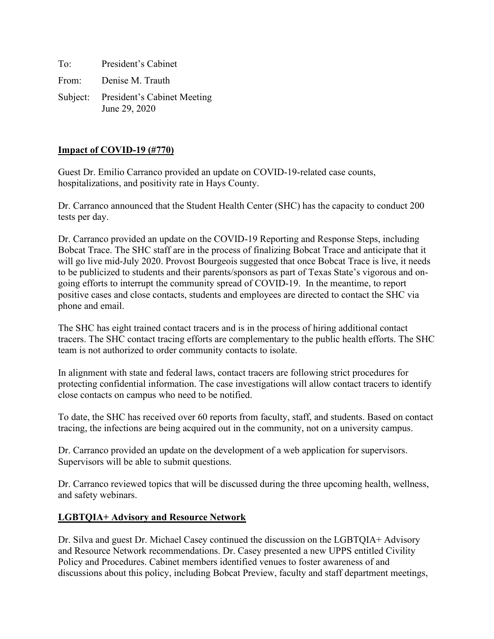To: President's Cabinet From: Denise M. Trauth Subject: President's Cabinet Meeting June 29, 2020

## **Impact of COVID-19 (#770)**

Guest Dr. Emilio Carranco provided an update on COVID-19-related case counts, hospitalizations, and positivity rate in Hays County.

Dr. Carranco announced that the Student Health Center (SHC) has the capacity to conduct 200 tests per day.

Dr. Carranco provided an update on the COVID-19 Reporting and Response Steps, including Bobcat Trace. The SHC staff are in the process of finalizing Bobcat Trace and anticipate that it will go live mid-July 2020. Provost Bourgeois suggested that once Bobcat Trace is live, it needs to be publicized to students and their parents/sponsors as part of Texas State's vigorous and ongoing efforts to interrupt the community spread of COVID-19. In the meantime, to report positive cases and close contacts, students and employees are directed to contact the SHC via phone and email.

The SHC has eight trained contact tracers and is in the process of hiring additional contact tracers. The SHC contact tracing efforts are complementary to the public health efforts. The SHC team is not authorized to order community contacts to isolate.

In alignment with state and federal laws, contact tracers are following strict procedures for protecting confidential information. The case investigations will allow contact tracers to identify close contacts on campus who need to be notified.

To date, the SHC has received over 60 reports from faculty, staff, and students. Based on contact tracing, the infections are being acquired out in the community, not on a university campus.

Dr. Carranco provided an update on the development of a web application for supervisors. Supervisors will be able to submit questions.

Dr. Carranco reviewed topics that will be discussed during the three upcoming health, wellness, and safety webinars.

# **LGBTQIA+ Advisory and Resource Network**

Dr. Silva and guest Dr. Michael Casey continued the discussion on the LGBTQIA+ Advisory and Resource Network recommendations. Dr. Casey presented a new UPPS entitled Civility Policy and Procedures. Cabinet members identified venues to foster awareness of and discussions about this policy, including Bobcat Preview, faculty and staff department meetings,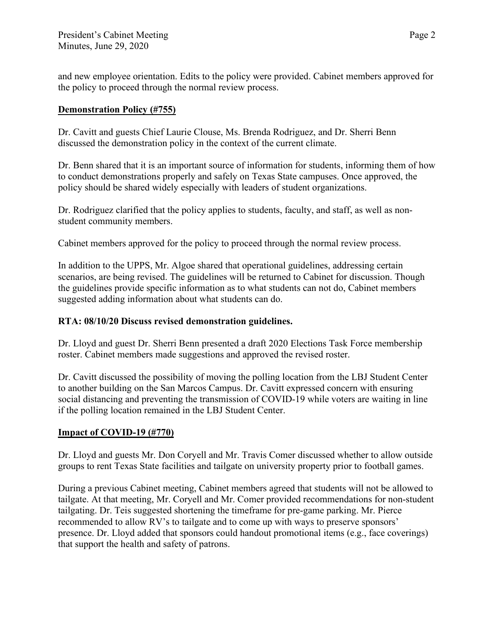and new employee orientation. Edits to the policy were provided. Cabinet members approved for the policy to proceed through the normal review process.

# **Demonstration Policy (#755)**

Dr. Cavitt and guests Chief Laurie Clouse, Ms. Brenda Rodriguez, and Dr. Sherri Benn discussed the demonstration policy in the context of the current climate.

Dr. Benn shared that it is an important source of information for students, informing them of how to conduct demonstrations properly and safely on Texas State campuses. Once approved, the policy should be shared widely especially with leaders of student organizations.

Dr. Rodriguez clarified that the policy applies to students, faculty, and staff, as well as nonstudent community members.

Cabinet members approved for the policy to proceed through the normal review process.

In addition to the UPPS, Mr. Algoe shared that operational guidelines, addressing certain scenarios, are being revised. The guidelines will be returned to Cabinet for discussion. Though the guidelines provide specific information as to what students can not do, Cabinet members suggested adding information about what students can do.

# **RTA: 08/10/20 Discuss revised demonstration guidelines.**

Dr. Lloyd and guest Dr. Sherri Benn presented a draft 2020 Elections Task Force membership roster. Cabinet members made suggestions and approved the revised roster.

Dr. Cavitt discussed the possibility of moving the polling location from the LBJ Student Center to another building on the San Marcos Campus. Dr. Cavitt expressed concern with ensuring social distancing and preventing the transmission of COVID-19 while voters are waiting in line if the polling location remained in the LBJ Student Center.

# **Impact of COVID-19 (#770)**

Dr. Lloyd and guests Mr. Don Coryell and Mr. Travis Comer discussed whether to allow outside groups to rent Texas State facilities and tailgate on university property prior to football games.

During a previous Cabinet meeting, Cabinet members agreed that students will not be allowed to tailgate. At that meeting, Mr. Coryell and Mr. Comer provided recommendations for non-student tailgating. Dr. Teis suggested shortening the timeframe for pre-game parking. Mr. Pierce recommended to allow RV's to tailgate and to come up with ways to preserve sponsors' presence. Dr. Lloyd added that sponsors could handout promotional items (e.g., face coverings) that support the health and safety of patrons.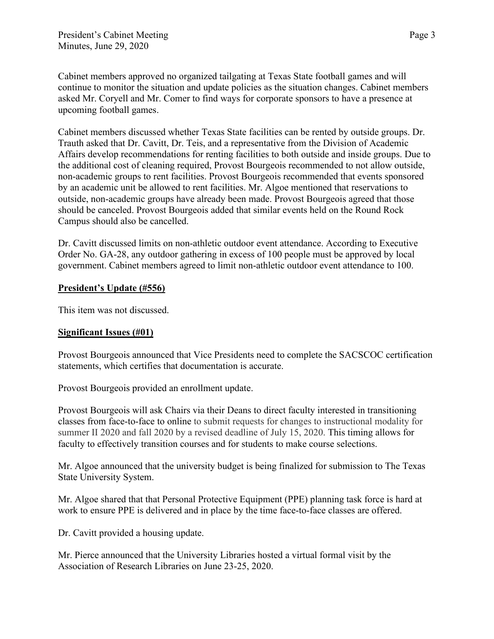Cabinet members approved no organized tailgating at Texas State football games and will continue to monitor the situation and update policies as the situation changes. Cabinet members asked Mr. Coryell and Mr. Comer to find ways for corporate sponsors to have a presence at upcoming football games.

Cabinet members discussed whether Texas State facilities can be rented by outside groups. Dr. Trauth asked that Dr. Cavitt, Dr. Teis, and a representative from the Division of Academic Affairs develop recommendations for renting facilities to both outside and inside groups. Due to the additional cost of cleaning required, Provost Bourgeois recommended to not allow outside, non-academic groups to rent facilities. Provost Bourgeois recommended that events sponsored by an academic unit be allowed to rent facilities. Mr. Algoe mentioned that reservations to outside, non-academic groups have already been made. Provost Bourgeois agreed that those should be canceled. Provost Bourgeois added that similar events held on the Round Rock Campus should also be cancelled.

Dr. Cavitt discussed limits on non-athletic outdoor event attendance. According to Executive Order No. GA-28, any outdoor gathering in excess of 100 people must be approved by local government. Cabinet members agreed to limit non-athletic outdoor event attendance to 100.

# **President's Update (#556)**

This item was not discussed.

# **Significant Issues (#01)**

Provost Bourgeois announced that Vice Presidents need to complete the SACSCOC certification statements, which certifies that documentation is accurate.

Provost Bourgeois provided an enrollment update.

Provost Bourgeois will ask Chairs via their Deans to direct faculty interested in transitioning classes from face-to-face to online to submit requests for changes to instructional modality for summer II 2020 and fall 2020 by a revised deadline of July 15, 2020. This timing allows for faculty to effectively transition courses and for students to make course selections.

Mr. Algoe announced that the university budget is being finalized for submission to The Texas State University System.

Mr. Algoe shared that that Personal Protective Equipment (PPE) planning task force is hard at work to ensure PPE is delivered and in place by the time face-to-face classes are offered.

Dr. Cavitt provided a housing update.

Mr. Pierce announced that the University Libraries hosted a virtual formal visit by the Association of Research Libraries on June 23-25, 2020.